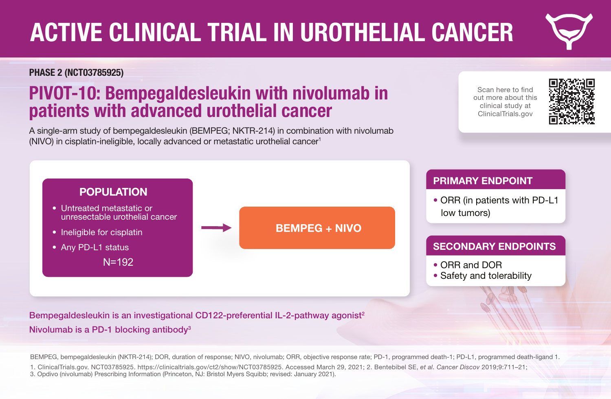# ACTIVE CLINICAL TRIAL IN UROTHELIAL CANCER

#### PHASE 2 (NCT03785925)

er and **POPULATION** metastatic melanoma • Untreated metastatic or

• Ineligible for cisplatin<br>
• **Any PD 11 status** 

• Any PD-L1 status

• PD-L1 statusa

### **PIVOT-10: Bempegaldesleukin with nivolumab in** patients with advanced urothelial cancer

(NIVO) in cisplatin-ineligible, locally advanced or metastatic urothelial cancer<sup>1</sup> **BEMPEGER AND STRUCK IN A SECOND MANUFACTURE OF A SECOND MANUFACTURE OF A SECOND MANUFACTURE OF A SECOND MANUFACTURE** A single-arm study of bempegaldesleukin (BEMPEG; NKTR-214) in combination with nivolumab

Scan here to find out more about this clinical study at ClinicalTrials.gov



### **NIVO 360 MG IV AND AREA PRIMARY ENDPOINT**

• ORR (in patients with PD-L1 low tumors)<sup>a</sup>

#### SECONDARY ENDPOINTS

- ORR and DORa,b
- **NIVO 360 mg IV Q3W IV Q3W IV Q3W IV Q3W IV Q3W IV Q3W IV Q3W IV Q3W IV Q3W IV Q3W IV Q3W IV Q3W IV Q3W IV Q3W** • Safety and tolerability

erred<br>Bempegaldesleukin is an investigational CD122-preferential IL-2-pathway agonist<sup>2</sup>

### • AJCC stage (8th edition)c Nivolumab is a PD-1 blocking antibody3

unresectable urothelial cancer

N=192

aAssessed by blinded independent central review

b<sub>ORR</sub> in all treated patients and DOR in all treated patients and patients whose tumors have low PD-L1 expression

BEMPEG, bempegaldesleukin (NKTR-214); DOR, duration of response; NIVO, nivolumab; ORR, objective response rate; PD-1, programmed death-1; PD-L1, programmed death-ligand 1.

BEMPEG + NIVO

1. ClinicalTrials.gov. NCT03785925. https://clinicaltrials.gov/ct2/show/NCT03785925. Accessed March 29, 2021; 2. Bentebibel SE, *et al. Cancer Discov* 2019;9:711–21; 3. Opdivo (nivolumab) Prescribing Information (Princeton, NJ: Bristol Myers Squibb; revised: January 2021).